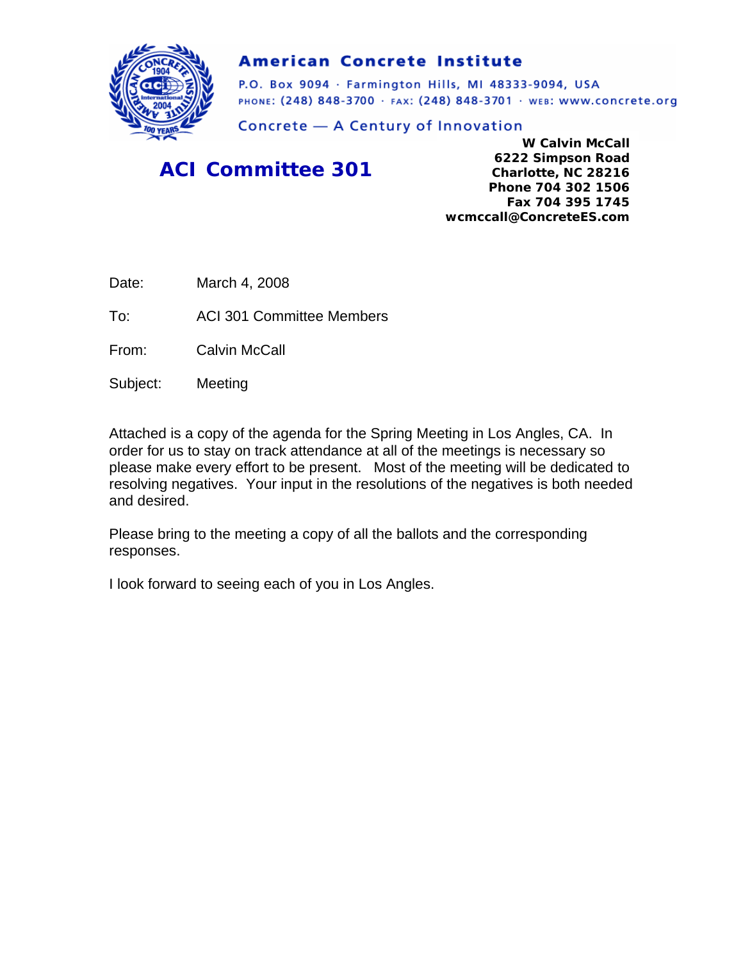

#### **American Concrete Institute**

P.O. Box 9094 · Farmington Hills, MI 48333-9094, USA PHONE: (248) 848-3700 · FAX: (248) 848-3701 · WEB: WWW.CONCrete.org

Concrete - A Century of Innovation

## *ACI Committee 301*

**W Calvin McCall 6222 Simpson Road Charlotte, NC 28216 Phone 704 302 1506 Fax 704 395 1745 wcmccall@ConcreteES.com** 

Date: March 4, 2008

To: ACI 301 Committee Members

From: Calvin McCall

Subject: Meeting

Attached is a copy of the agenda for the Spring Meeting in Los Angles, CA. In order for us to stay on track attendance at all of the meetings is necessary so please make every effort to be present. Most of the meeting will be dedicated to resolving negatives. Your input in the resolutions of the negatives is both needed and desired.

Please bring to the meeting a copy of all the ballots and the corresponding responses.

I look forward to seeing each of you in Los Angles.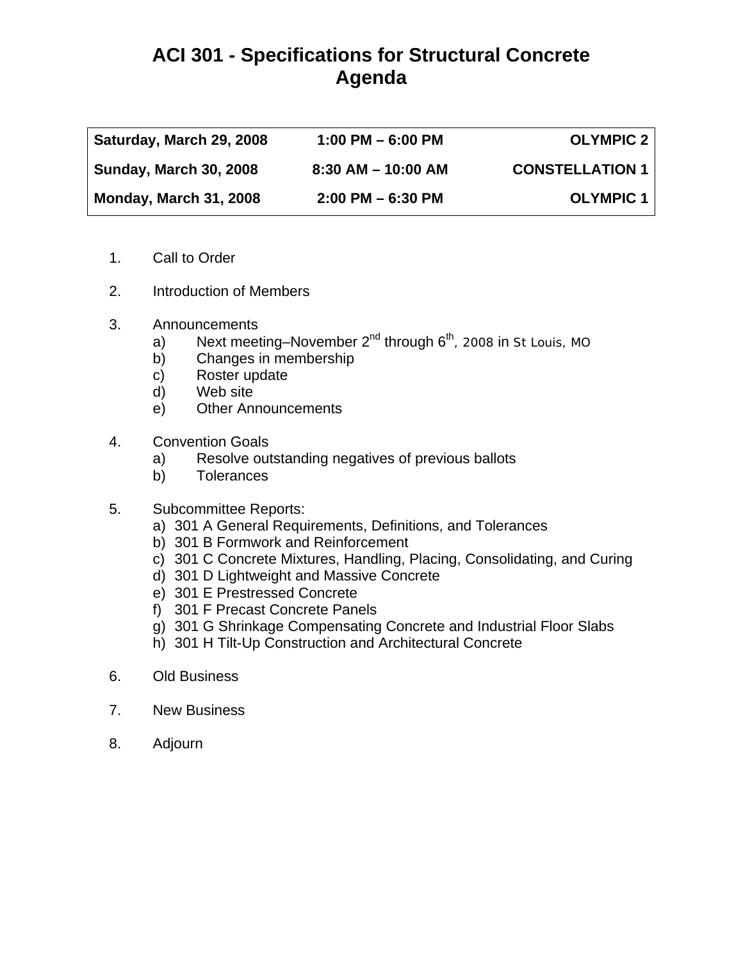## **ACI 301 - Specifications for Structural Concrete Agenda**

| Saturday, March 29, 2008      | $1:00$ PM $-6:00$ PM   | <b>OLYMPIC 2</b>       |
|-------------------------------|------------------------|------------------------|
| <b>Sunday, March 30, 2008</b> | $8:30$ AM $-$ 10:00 AM | <b>CONSTELLATION 1</b> |
| <b>Monday, March 31, 2008</b> | $2:00$ PM $-6:30$ PM   | <b>OLYMPIC 1</b>       |

- 1. Call to Order
- 2. Introduction of Members
- 3. Announcements
	- a) Next meeting–November  $2^{nd}$  through  $6^{th}$ , 2008 in St Louis, MO
	- b) Changes in membership
	- c) Roster update
	- d) Web site
	- e) Other Announcements
- 4. Convention Goals
	- a) Resolve outstanding negatives of previous ballots
	- b) Tolerances
- 5. Subcommittee Reports:
	- a) 301 A General Requirements, Definitions, and Tolerances
	- b) 301 B Formwork and Reinforcement
	- c) 301 C Concrete Mixtures, Handling, Placing, Consolidating, and Curing
	- d) 301 D Lightweight and Massive Concrete
	- e) 301 E Prestressed Concrete
	- f) 301 F Precast Concrete Panels
	- g) 301 G Shrinkage Compensating Concrete and Industrial Floor Slabs
	- h) 301 H Tilt-Up Construction and Architectural Concrete
- 6. Old Business
- 7. New Business
- 8. Adjourn